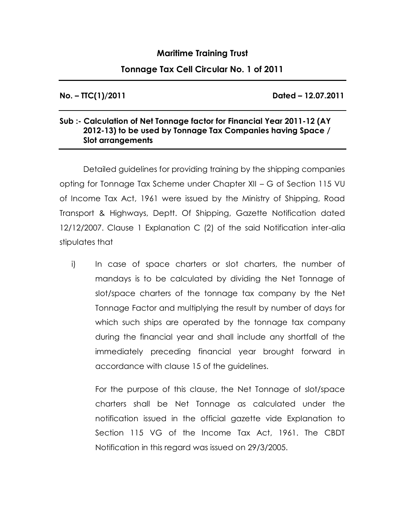## **Maritime Training Trust**

## **Tonnage Tax Cell Circular No. 1 of 2011**

**No. – TTC(1)/2011 Dated – 12.07.2011**

## **Sub :- Calculation of Net Tonnage factor for Financial Year 2011-12 (AY 2012-13) to be used by Tonnage Tax Companies having Space / Slot arrangements**

Detailed guidelines for providing training by the shipping companies opting for Tonnage Tax Scheme under Chapter XII – G of Section 115 VU of Income Tax Act, 1961 were issued by the Ministry of Shipping, Road Transport & Highways, Deptt. Of Shipping, Gazette Notification dated 12/12/2007. Clause 1 Explanation C (2) of the said Notification inter-alia stipulates that

i) In case of space charters or slot charters, the number of mandays is to be calculated by dividing the Net Tonnage of slot/space charters of the tonnage tax company by the Net Tonnage Factor and multiplying the result by number of days for which such ships are operated by the tonnage tax company during the financial year and shall include any shortfall of the immediately preceding financial year brought forward in accordance with clause 15 of the guidelines.

For the purpose of this clause, the Net Tonnage of slot/space charters shall be Net Tonnage as calculated under the notification issued in the official gazette vide Explanation to Section 115 VG of the Income Tax Act, 1961. The CBDT Notification in this regard was issued on 29/3/2005.